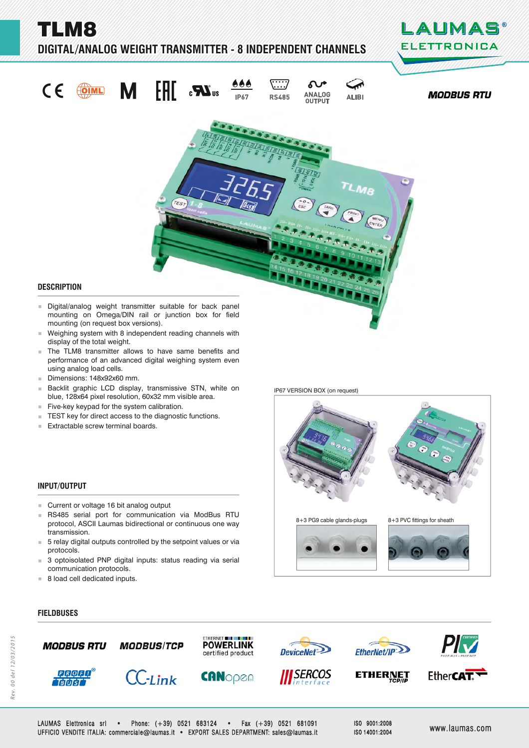TLM8

## **DIGITAL/ANALOG WEIGHT TRANSMITTER - 8 INDEPENDENT CHANNELS**





- Weighing system with 8 independent reading channels with display of the total weight.
- **The TLM8 transmitter allows to have same benefits and** performance of an advanced digital weighing system even using analog load cells.
- Dimensions: 148x92x60 mm.
- Backlit graphic LCD display, transmissive STN, white on blue, 128x64 pixel resolution, 60x32 mm visible area.
- $F$ ive-key keypad for the system calibration.
- TEST key for direct access to the diagnostic functions.<br>■ Extractable screw terminal boards
- Extractable screw terminal boards.

#### **INPUT/OUTPUT**

- **Current or voltage 16 bit analog output**
- RS485 serial port for communication via ModBus RTU protocol, ASCII Laumas bidirectional or continuous one way transmission.
- 5 relay digital outputs controlled by the setpoint values or via protocols.
- 3 optoisolated PNP digital inputs: status reading via serial communication protocols.
- 8 load cell dedicated inputs.

**FIELDBUSES IELDBUSES**



LAUMAS Elettronica srl • Phone: (+39) 0521 683124 • Fax (+39) 0521 681091 UFFICIO VENDITE ITALIA: commerciale@laumas.it • EXPORT SALES DEPARTMENT: sales@laumas.it FFICIO www.laumas.com ww.laumas.com

ISO 9001:2008 ISO 14001:2004

IP67 VERSION BOX (on request)

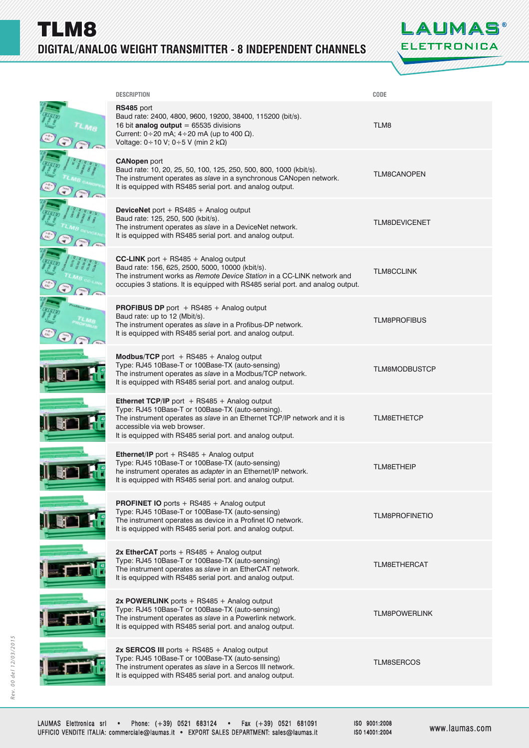TLM8 **DIGITAL/ANALOG WEIGHT TRANSMITTER - 8 INDEPENDENT CHANNELS** 



| <b>DESCRIPTION</b>                                                                                                                                                                                                                                                                   | CODE                  |
|--------------------------------------------------------------------------------------------------------------------------------------------------------------------------------------------------------------------------------------------------------------------------------------|-----------------------|
| RS485 port<br>Baud rate: 2400, 4800, 9600, 19200, 38400, 115200 (bit/s).<br>16 bit analog output = $65535$ divisions<br>Current: $0 \div 20$ mA; $4 \div 20$ mA (up to 400 $\Omega$ ).<br>Voltage: 0÷10 V; 0÷5 V (min 2 kΩ)                                                          | TLM8                  |
| <b>CANopen port</b><br>Baud rate: 10, 20, 25, 50, 100, 125, 250, 500, 800, 1000 (kbit/s).<br>The instrument operates as slave in a synchronous CANopen network.<br>It is equipped with RS485 serial port. and analog output.                                                         | <b>TLM8CANOPEN</b>    |
| <b>DeviceNet</b> port + RS485 + Analog output<br>Baud rate: 125, 250, 500 (kbit/s).<br>The instrument operates as slave in a DeviceNet network.<br>It is equipped with RS485 serial port. and analog output.                                                                         | <b>TLM8DEVICENET</b>  |
| <b>CC-LINK</b> port + RS485 + Analog output<br>Baud rate: 156, 625, 2500, 5000, 10000 (kbit/s).<br>The instrument works as Remote Device Station in a CC-LINK network and<br>occupies 3 stations. It is equipped with RS485 serial port. and analog output.                          | <b>TLM8CCLINK</b>     |
| <b>PROFIBUS DP</b> port $+$ RS485 $+$ Analog output<br>Baud rate: up to 12 (Mbit/s).<br>The instrument operates as slave in a Profibus-DP network.<br>It is equipped with RS485 serial port. and analog output.                                                                      | <b>TLM8PROFIBUS</b>   |
| <b>Modbus/TCP</b> port $+$ RS485 $+$ Analog output<br>Type: RJ45 10Base-T or 100Base-TX (auto-sensing)<br>The instrument operates as slave in a Modbus/TCP network.<br>It is equipped with RS485 serial port. and analog output.                                                     | <b>TLM8MODBUSTCP</b>  |
| <b>Ethernet TCP/IP</b> port $+$ RS485 $+$ Analog output<br>Type: RJ45 10Base-T or 100Base-TX (auto-sensing).<br>The instrument operates as slave in an Ethernet TCP/IP network and it is<br>accessible via web browser.<br>It is equipped with RS485 serial port. and analog output. | <b>TLM8ETHETCP</b>    |
| <b>Ethernet/IP</b> port + RS485 + Analog output<br>Type: RJ45 10Base-T or 100Base-TX (auto-sensing)<br>he instrument operates as adapter in an Ethernet/IP network.<br>It is equipped with RS485 serial port. and analog output.                                                     | <b>TLM8ETHEIP</b>     |
| PROFINET IO ports + RS485 + Analog output<br>Type: RJ45 10Base-T or 100Base-TX (auto-sensing)<br>The instrument operates as device in a Profinet IO network.<br>It is equipped with RS485 serial port. and analog output.                                                            | <b>TLM8PROFINETIO</b> |
| 2x EtherCAT ports $+$ RS485 $+$ Analog output<br>Type: RJ45 10Base-T or 100Base-TX (auto-sensing)<br>The instrument operates as slave in an EtherCAT network.<br>It is equipped with RS485 serial port. and analog output.                                                           | <b>TLM8ETHERCAT</b>   |
| 2x POWERLINK ports $+$ RS485 $+$ Analog output<br>Type: RJ45 10Base-T or 100Base-TX (auto-sensing)<br>The instrument operates as slave in a Powerlink network.<br>It is equipped with RS485 serial port. and analog output.                                                          | <b>TLM8POWERLINK</b>  |
| 2x SERCOS III ports + RS485 + Analog output<br>Type: RJ45 10Base-T or 100Base-TX (auto-sensing)<br>The instrument operates as slave in a Sercos III network.<br>It is equipped with RS485 serial port. and analog output.                                                            | <b>TLM8SERCOS</b>     |
|                                                                                                                                                                                                                                                                                      |                       |

ISO 9001:2008 ISO 14001:2004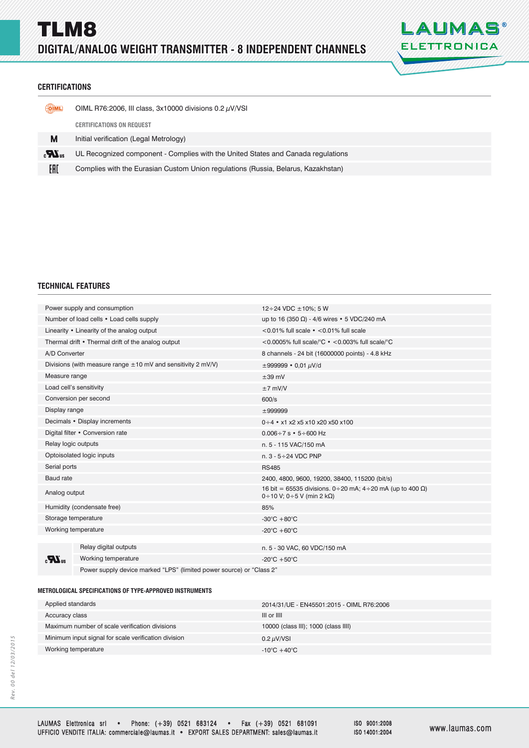

## **CERTIFICATIONS ERTIFICATIONS**

| <u>(OIML</u> | OIML R76:2006, III class, $3x10000$ divisions $0.2 \mu$ V/VSI                     |
|--------------|-----------------------------------------------------------------------------------|
|              | <b>CERTIFICATIONS ON REQUEST</b>                                                  |
| M            | Initial verification (Legal Metrology)                                            |
| $\mathbf{r}$ | UL Recognized component - Complies with the United States and Canada regulations  |
| EAC          | Complies with the Eurasian Custom Union regulations (Russia, Belarus, Kazakhstan) |
|              |                                                                                   |

### **TECHNICAL FEATURES**

| Power supply and consumption                       |                                                                      | 12 ÷ 24 VDC $\pm$ 10%; 5 W                                                                                      |  |
|----------------------------------------------------|----------------------------------------------------------------------|-----------------------------------------------------------------------------------------------------------------|--|
| Number of load cells • Load cells supply           |                                                                      | up to 16 (350 Ω) - 4/6 wires • 5 VDC/240 mA                                                                     |  |
| Linearity • Linearity of the analog output         |                                                                      | $<$ 0.01% full scale $\cdot$ $<$ 0.01% full scale                                                               |  |
| Thermal drift • Thermal drift of the analog output |                                                                      | <0.0005% full scale/°C $\cdot$ <0.003% full scale/°C                                                            |  |
| A/D Converter                                      |                                                                      | 8 channels - 24 bit (16000000 points) - 4.8 kHz                                                                 |  |
|                                                    | Divisions (with measure range $\pm 10$ mV and sensitivity 2 mV/V)    | $\pm 999999 \cdot 0.01 \mu V/d$                                                                                 |  |
| Measure range                                      |                                                                      | $\pm 39$ mV                                                                                                     |  |
| Load cell's sensitivity                            |                                                                      | $±7$ mV/V                                                                                                       |  |
| Conversion per second                              |                                                                      | 600/s                                                                                                           |  |
| Display range                                      |                                                                      | ±999999                                                                                                         |  |
| Decimals • Display increments                      |                                                                      | $0 \div 4$ • x1 x2 x5 x10 x20 x50 x100                                                                          |  |
| Digital filter • Conversion rate                   |                                                                      | $0.006 \div 7$ s $\cdot$ 5 $\div$ 600 Hz                                                                        |  |
| Relay logic outputs                                |                                                                      | n. 5 - 115 VAC/150 mA                                                                                           |  |
| Optoisolated logic inputs                          |                                                                      | n. $3 - 5 \div 24$ VDC PNP                                                                                      |  |
| Serial ports                                       |                                                                      | <b>RS485</b>                                                                                                    |  |
| <b>Baud</b> rate                                   |                                                                      | 2400, 4800, 9600, 19200, 38400, 115200 (bit/s)                                                                  |  |
| Analog output                                      |                                                                      | 16 bit = 65535 divisions. 0 ÷ 20 mA; 4 ÷ 20 mA (up to 400 Ω)<br>$0 \div 10$ V; 0 $\div 5$ V (min 2 k $\Omega$ ) |  |
| Humidity (condensate free)                         |                                                                      | 85%                                                                                                             |  |
| Storage temperature                                |                                                                      | -30 $\mathrm{^{\circ}C}$ +80 $\mathrm{^{\circ}C}$                                                               |  |
| Working temperature                                |                                                                      | -20 $\mathrm{^{\circ}C}$ +60 $\mathrm{^{\circ}C}$                                                               |  |
|                                                    |                                                                      |                                                                                                                 |  |
|                                                    | Relay digital outputs                                                | n. 5 - 30 VAC, 60 VDC/150 mA                                                                                    |  |
| $\mathbf{R}_3$                                     | Working temperature                                                  | -20 $^{\circ}$ C +50 $^{\circ}$ C                                                                               |  |
|                                                    | Power supply device marked "LPS" (limited power source) or "Class 2" |                                                                                                                 |  |

#### **METROLOGICAL SPECIFICATIONS OF TYPE-APPROVED INSTRUMENTS ETROLOGICAL SPECIFICATIONS OF TYPE-APPROVED**

| Applied standards                                    | 2014/31/UE - EN45501:2015 - OIML R76:2006 |
|------------------------------------------------------|-------------------------------------------|
| Accuracy class                                       | III or IIII                               |
| Maximum number of scale verification divisions       | 10000 (class III); 1000 (class IIII)      |
| Minimum input signal for scale verification division | 0.2 $\mu$ V/VSI                           |
| Working temperature                                  | $-10^{\circ}$ C +40 $^{\circ}$ C          |
|                                                      |                                           |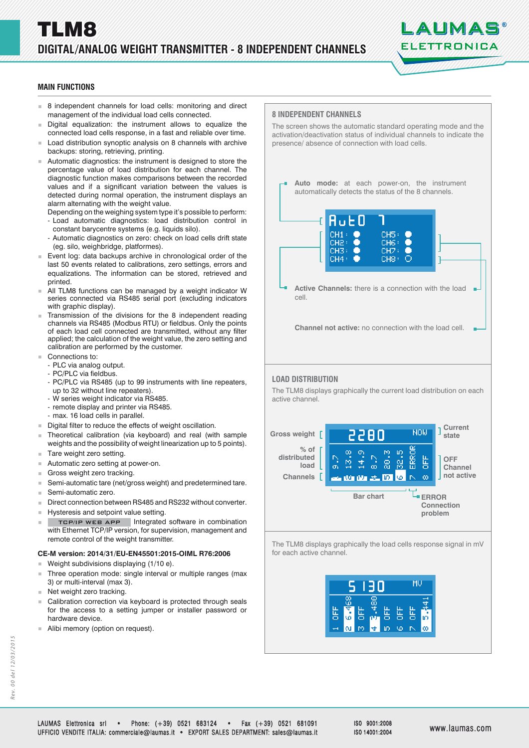# LALIMAS ELETTRONICA

## **MAIN FUNCTIONS**

- 8 independent channels for load cells: monitoring and direct management of the individual load cells connected.
- Digital equalization: the instrument allows to equalize the connected load cells response, in a fast and reliable over time.
- Load distribution synoptic analysis on 8 channels with archive backups: storing, retrieving, printing.
- Automatic diagnostics: the instrument is designed to store the percentage value of load distribution for each channel. The diagnostic function makes comparisons between the recorded values and if a significant variation between the values is detected during normal operation, the instrument displays an alarm alternating with the weight value.
	- Depending on the weighing system type it's possible to perform: - Load automatic diagnostics: load distribution control in constant barycentre systems (e.g. liquids silo).
	- Automatic diagnostics on zero: check on load cells drift state (eg. silo, weighbridge, platformes).
- Event log: data backups archive in chronological order of the last 50 events related to calibrations, zero settings, errors and equalizations. The information can be stored, retrieved and printed.
- All TLM8 functions can be managed by a weight indicator W series connected via RS485 serial port (excluding indicators with graphic display).
- Transmission of the divisions for the 8 independent reading channels via RS485 (Modbus RTU) or fieldbus. Only the points of each load cell connected are transmitted, without any filter applied; the calculation of the weight value, the zero setting and calibration are performed by the customer.
- Connections to:
	- PLC via analog output.
	- PC/PLC via fieldbus.
	- PC/PLC via RS485 (up to 99 instruments with line repeaters, up to 32 without line repeaters).
	- W series weight indicator via RS485.
	- remote display and printer via RS485.
	- max. 16 load cells in parallel.
- Digital filter to reduce the effects of weight oscillation.
- Theoretical calibration (via keyboard) and real (with sample weights and the possibility of weight linearization up to 5 points).
- Tare weight zero setting.
- Automatic zero setting at power-on.
- Gross weight zero tracking.
- Semi-automatic tare (net/gross weight) and predetermined tare.
- Semi-automatic zero.
- Direct connection between RS485 and RS232 without converter.
- **Hysteresis and setpoint value setting.**
- TCP/IP WEB APP | Integrated software in combination with Ethernet TCP/IP version, for supervision, management and remote control of the weight transmitter.

### **CE-M version: 2014/31/EU-EN45501:2015-OIML R76:2006**

- **Weight subdivisions displaying**  $(1/10 e)$ **.**
- Three operation mode: single interval or multiple ranges (max 3) or multi-interval (max 3).
- $\blacksquare$  Net weight zero tracking.
- Calibration correction via keyboard is protected through seals for the access to a setting jumper or installer password or hardware device.
- Alibi memory (option on request).





LAUMAS Elettronica srl • Phone: (+39) 0521 683124 • Fax (+39) 0521 681091 UFFICIO VENDITE ITALIA: commerciale@laumas.it • EXPORT SALES DEPARTMENT: sales@laumas.it FFICIO www.laumas.com ww.laumas.com

ISO 9001:2008 ISO 14001:2004